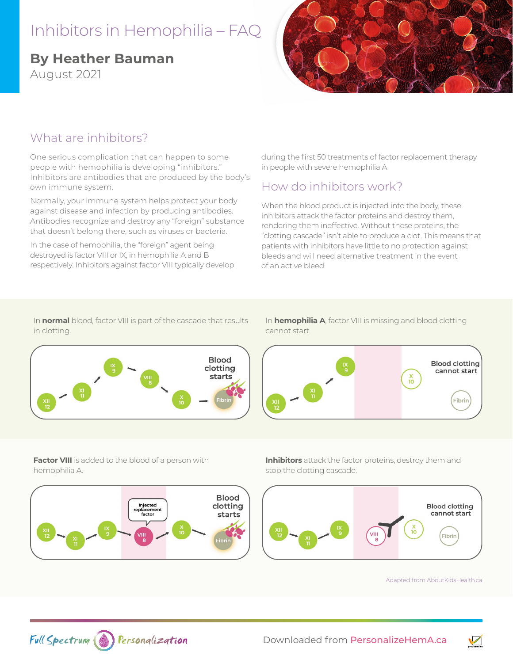# Inhibitors in Hemophilia – FAQ

# **By Heather Bauman**

August 2021



#### What are inhibitors?

One serious complication that can happen to some people with hemophilia is developing "inhibitors." Inhibitors are antibodies that are produced by the body's own immune system.

Normally, your immune system helps protect your body against disease and infection by producing antibodies. Antibodies recognize and destroy any "foreign" substance that doesn't belong there, such as viruses or bacteria.

In the case of hemophilia, the "foreign" agent being destroyed is factor VIII or IX, in hemophilia A and B respectively. Inhibitors against factor VIII typically develop during the first 50 treatments of factor replacement therapy in people with severe hemophilia A.

### How do inhibitors work?

When the blood product is injected into the body, these inhibitors attack the factor proteins and destroy them, rendering them ineffective. Without these proteins, the "clotting cascade" isn't able to produce a clot. This means that patients with inhibitors have little to no protection against bleeds and will need alternative treatment in the event of an active bleed.

In **normal** blood, factor VIII is part of the cascade that results in clotting.



In **hemophilia A**, factor VIII is missing and blood clotting cannot start.



**Factor VIII** is added to the blood of a person with hemophilia A.



**Inhibitors** attack the factor proteins, destroy them and stop the clotting cascade.



Adapted fro[m AboutKidsHealth.ca](https://www.aboutkidshealth.ca/) 

 $\sqrt{}$ 

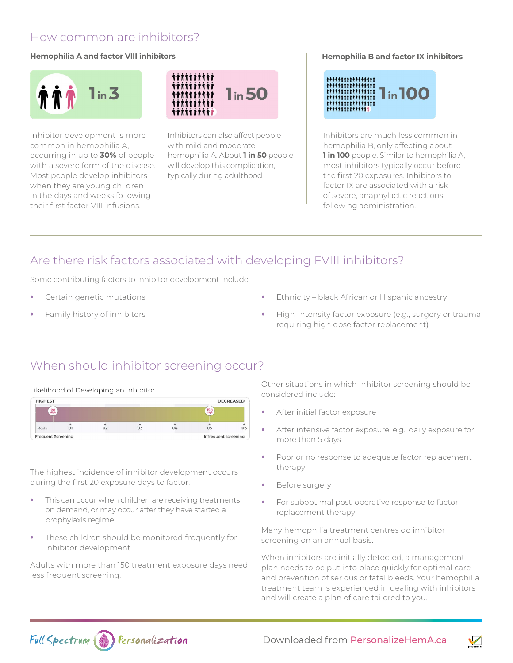#### How common are inhibitors?

#### **Hemophilia A and factor VIII inhibitors**



Inhibitor development is more common in hemophilia A, occurring in up to **30%** of people with a severe form of the disease. Most people develop inhibitors when they are young children in the days and weeks following their first factor VIII infusions.



Inhibitors can also affect people with mild and moderate hemophilia A. About **1 in 50** people will develop this complication, typically during adulthood.

#### **Hemophilia B and factor IX inhibitors**



Inhibitors are much less common in hemophilia B, only affecting about **1 in 100** people. Similar to hemophilia A, most inhibitors typically occur before the first 20 exposures. Inhibitors to factor IX are associated with a risk of severe, anaphylactic reactions following administration.

### Are there risk factors associated with developing FVIII inhibitors?

Some contributing factors to inhibitor development include:

- **•** Certain genetic mutations
- **•** Family history of inhibitors
- **•** Ethnicity black African or Hispanic ancestry
- **•** High-intensity factor exposure (e.g., surgery or trauma requiring high dose factor replacement)

## When should inhibitor screening occur?

#### Likelihood of Developing an Inhibitor



The highest incidence of inhibitor development occurs during the first 20 exposure days to factor.

- **•** This can occur when children are receiving treatments on demand, or may occur after they have started a prophylaxis regime
- **•** These children should be monitored frequently for inhibitor development

Adults with more than 150 treatment exposure days need less frequent screening.

Other situations in which inhibitor screening should be considered include:

- **•** After initial factor exposure
- **•** After intensive factor exposure, e.g., daily exposure for more than 5 days
- **•** Poor or no response to adequate factor replacement therapy
- **•** Before surgery
- **•** For suboptimal post-operative response to factor replacement therapy

Many hemophilia treatment centres do inhibitor screening on an annual basis.

When inhibitors are initially detected, a management plan needs to be put into place quickly for optimal care and prevention of serious or fatal bleeds. Your hemophilia treatment team is experienced in dealing with inhibitors and will create a plan of care tailored to you.